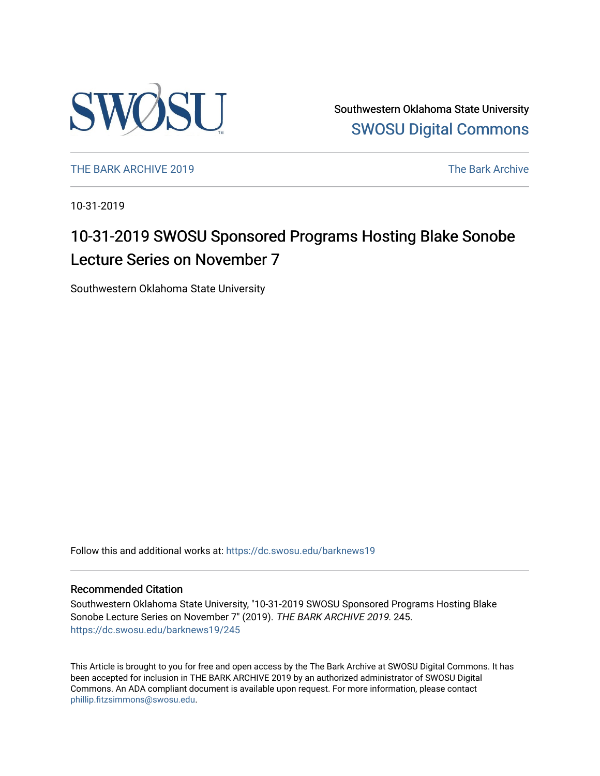

Southwestern Oklahoma State University [SWOSU Digital Commons](https://dc.swosu.edu/) 

[THE BARK ARCHIVE 2019](https://dc.swosu.edu/barknews19) The Bark Archive

10-31-2019

## 10-31-2019 SWOSU Sponsored Programs Hosting Blake Sonobe Lecture Series on November 7

Southwestern Oklahoma State University

Follow this and additional works at: [https://dc.swosu.edu/barknews19](https://dc.swosu.edu/barknews19?utm_source=dc.swosu.edu%2Fbarknews19%2F245&utm_medium=PDF&utm_campaign=PDFCoverPages)

### Recommended Citation

Southwestern Oklahoma State University, "10-31-2019 SWOSU Sponsored Programs Hosting Blake Sonobe Lecture Series on November 7" (2019). THE BARK ARCHIVE 2019. 245. [https://dc.swosu.edu/barknews19/245](https://dc.swosu.edu/barknews19/245?utm_source=dc.swosu.edu%2Fbarknews19%2F245&utm_medium=PDF&utm_campaign=PDFCoverPages)

This Article is brought to you for free and open access by the The Bark Archive at SWOSU Digital Commons. It has been accepted for inclusion in THE BARK ARCHIVE 2019 by an authorized administrator of SWOSU Digital Commons. An ADA compliant document is available upon request. For more information, please contact [phillip.fitzsimmons@swosu.edu](mailto:phillip.fitzsimmons@swosu.edu).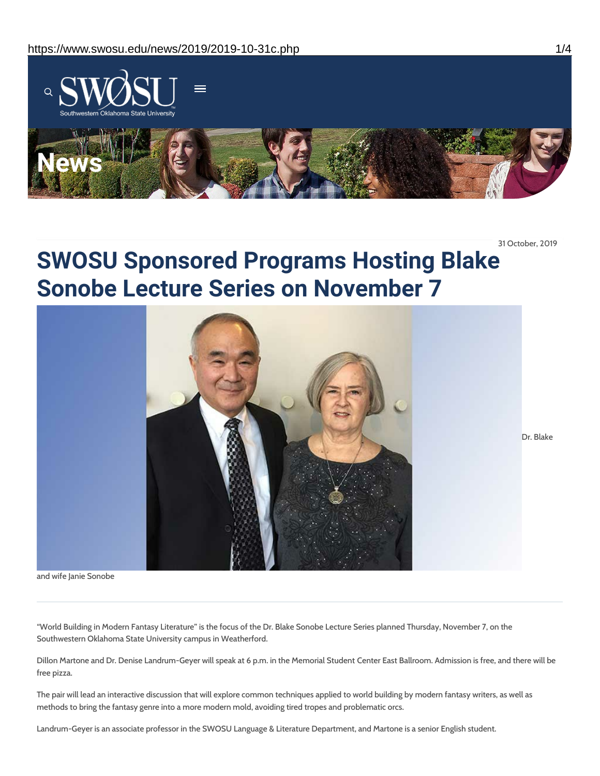

31 October, 2019

# **SWOSU Sponsored Programs Hosting Blake Sonobe Lecture Series on November 7**



Dr. Blake

and wife Janie Sonobe

"World Building in Modern Fantasy Literature" is the focus of the Dr. Blake Sonobe Lecture Series planned Thursday, November 7, on the Southwestern Oklahoma State University campus in Weatherford.

Dillon Martone and Dr. Denise Landrum-Geyer will speak at 6 p.m. in the Memorial Student Center East Ballroom. Admission is free, and there will be free pizza.

The pair will lead an interactive discussion that will explore common techniques applied to world building by modern fantasy writers, as well as methods to bring the fantasy genre into a more modern mold, avoiding tired tropes and problematic orcs.

Landrum-Geyer is an associate professor in the SWOSU Language & Literature Department, and Martone is a senior English student.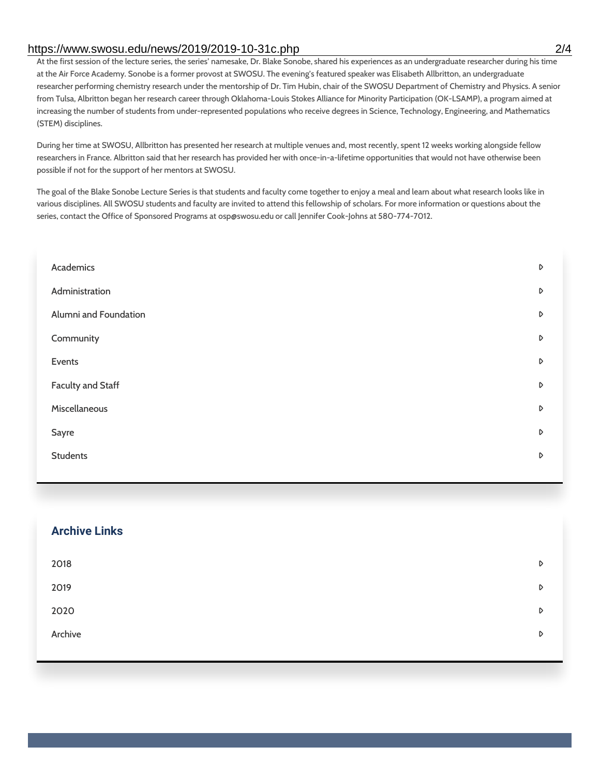### https://www.swosu.edu/news/2019/2019-10-31c.php 2/4

At the first session of the lecture series, the series' namesake, Dr. Blake Sonobe, shared his experiences as an undergraduate researcher during his time at the Air Force Academy. Sonobe is a former provost at SWOSU. The evening's featured speaker was Elisabeth Allbritton, an undergraduate researcher performing chemistry research under the mentorship of Dr. Tim Hubin, chair of the SWOSU Department of Chemistry and Physics. A senior from Tulsa, Albritton began her research career through Oklahoma-Louis Stokes Alliance for Minority Participation (OK-LSAMP), a program aimed at increasing the number of students from under-represented populations who receive degrees in Science, Technology, Engineering, and Mathematics (STEM) disciplines.

During her time at SWOSU, Allbritton has presented her research at multiple venues and, most recently, spent 12 weeks working alongside fellow researchers in France. Albritton said that her research has provided her with once-in-a-lifetime opportunities that would not have otherwise been possible if not for the support of her mentors at SWOSU.

The goal of the Blake Sonobe Lecture Series is that students and faculty come together to enjoy a meal and learn about what research looks like in various disciplines. All SWOSU students and faculty are invited to attend this fellowship of scholars. For more information or questions about the series, contact the Office of Sponsored Programs at osp@swosu.edu or call Jennifer Cook-Johns at 580-774-7012.

| Academics                | $\triangleright$ |
|--------------------------|------------------|
| Administration           | $\triangleright$ |
| Alumni and Foundation    | D                |
| Community                | D                |
| Events                   | $\triangleright$ |
| <b>Faculty and Staff</b> | $\triangleright$ |
| Miscellaneous            | D                |
| Sayre                    | D                |
| <b>Students</b>          | D                |
|                          |                  |

| <b>Archive Links</b> |   |
|----------------------|---|
| 2018                 | D |
| 2019                 | D |
| 2020                 | D |
| Archive              | D |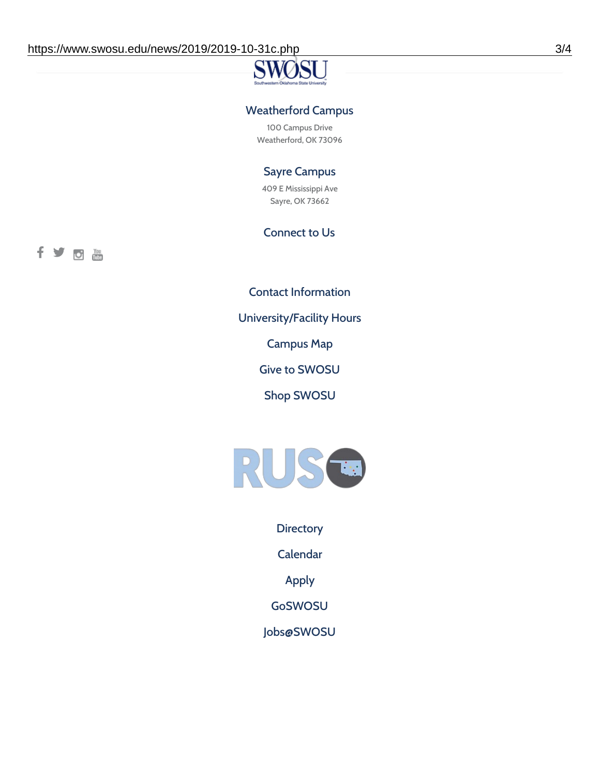### Weatherford Campus

100 Campus Drive Weatherford, OK 73096

### Sayre Campus

409 E Mississippi Ave Sayre, OK 73662

### Connect to Us

fyoth

Contact [Information](https://www.swosu.edu/about/contact.php)

[University/Facility](https://www.swosu.edu/about/operating-hours.php) Hours

[Campus](https://map.concept3d.com/?id=768#!ct/10964,10214,10213,10212,10205,10204,10203,10202,10136,10129,10128,0,31226,10130,10201,10641,0) Map

Give to [SWOSU](https://standingfirmly.com/donate)

Shop [SWOSU](https://shopswosu.merchorders.com/)



**[Directory](https://www.swosu.edu/directory/index.php)** 

[Calendar](https://eventpublisher.dudesolutions.com/swosu/)

[Apply](https://www.swosu.edu/admissions/apply-to-swosu.php)

[GoSWOSU](https://qlsso.quicklaunchsso.com/home/1267)

[Jobs@SWOSU](https://swosu.csod.com/ux/ats/careersite/1/home?c=swosu)